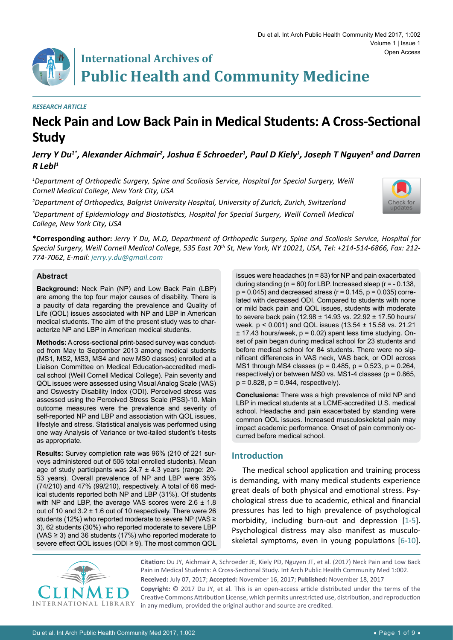# **International Archives of Public Health and Community Medicine**

#### *RESEARCH ARTICLE*

# **Neck Pain and Low Back Pain in Medical Students: A Cross-Sectional Study**

Jerry Y Du $^{\imath}$ ', Alexander Aichmair<sup>2</sup>, Joshua E Schroeder<sup>1</sup>, Paul D Kiely<sup>1</sup>, Joseph T Nguyen<sup>3</sup> and Darren *R Lebl1*

*1 Department of Orthopedic Surgery, Spine and Scoliosis Service, Hospital for Special Surgery, Weill Cornell Medical College, New York City, USA*

*2 Department of Orthopedics, Balgrist University Hospital, University of Zurich, Zurich, Switzerland*

*3 Department of Epidemiology and Biostatistics, Hospital for Special Surgery, Weill Cornell Medical College, New York City, USA*



**\*Corresponding author:** *Jerry Y Du, M.D, Department of Orthopedic Surgery, Spine and Scoliosis Service, Hospital for Special Surgery, Weill Cornell Medical College, 535 East 70th St, New York, NY 10021, USA, Tel: +214-514-6866, Fax: 212- 774-7062, E-mail: jerry.y.du@gmail.com*

#### **Abstract**

**Background:** Neck Pain (NP) and Low Back Pain (LBP) are among the top four major causes of disability. There is a paucity of data regarding the prevalence and Quality of Life (QOL) issues associated with NP and LBP in American medical students. The aim of the present study was to characterize NP and LBP in American medical students.

**Methods:** A cross-sectional print-based survey was conducted from May to September 2013 among medical students (MS1, MS2, MS3, MS4 and new MS0 classes) enrolled at a Liaison Committee on Medical Education-accredited medical school (Weill Cornell Medical College). Pain severity and QOL issues were assessed using Visual Analog Scale (VAS) and Oswestry Disability Index (ODI). Perceived stress was assessed using the Perceived Stress Scale (PSS)-10. Main outcome measures were the prevalence and severity of self-reported NP and LBP and association with QOL issues, lifestyle and stress. Statistical analysis was performed using one way Analysis of Variance or two-tailed student's t-tests as appropriate.

**Results:** Survey completion rate was 96% (210 of 221 surveys administered out of 506 total enrolled students). Mean age of study participants was 24.7 ± 4.3 years (range: 20- 53 years). Overall prevalence of NP and LBP were 35% (74/210) and 47% (99/210), respectively. A total of 66 medical students reported both NP and LBP (31%). Of students with NP and LBP, the average VAS scores were  $2.6 \pm 1.8$ out of 10 and 3.2 ± 1.6 out of 10 respectively. There were 26 students (12%) who reported moderate to severe NP (VAS ≥ 3), 62 students (30%) who reported moderate to severe LBP (VAS  $\geq$  3) and 36 students (17%) who reported moderate to severe effect QOL issues (ODI ≥ 9). The most common QOL

issues were headaches (n = 83) for NP and pain exacerbated during standing ( $n = 60$ ) for LBP. Increased sleep ( $r = -0.138$ ,  $p = 0.045$ ) and decreased stress ( $r = 0.145$ ,  $p = 0.035$ ) correlated with decreased ODI. Compared to students with none or mild back pain and QOL issues, students with moderate to severe back pain (12.98 ± 14.93 vs. 22.92 ± 17.50 hours/ week, p < 0.001) and QOL issues (13.54 ± 15.58 vs. 21.21  $± 17.43$  hours/week,  $p = 0.02$ ) spent less time studying. Onset of pain began during medical school for 23 students and before medical school for 84 students. There were no significant differences in VAS neck, VAS back, or ODI across MS1 through MS4 classes (p = 0.485, p = 0.523, p = 0.264, respectively) or between MS0 vs. MS1-4 classes (p = 0.865,  $p = 0.828$ ,  $p = 0.944$ , respectively).

**Conclusions:** There was a high prevalence of mild NP and LBP in medical students at a LCME-accredited U.S. medical school. Headache and pain exacerbated by standing were common QOL issues. Increased musculoskeletal pain may impact academic performance. Onset of pain commonly occurred before medical school.

#### **Introduction**

The medical school application and training process is demanding, with many medical students experience great deals of both physical and emotional stress. Psychological stress due to academic, ethical and financial pressures has led to high prevalence of psychological morbidity, including burn-out and depression [[1-](#page-7-0)[5](#page-7-1)]. Psychological distress may also manifest as musculoskeletal symptoms, even in young populations [[6](#page-7-2)[-10](#page-8-0)].



**Citation:** Du JY, Aichmair A, Schroeder JE, Kiely PD, Nguyen JT, et al. (2017) Neck Pain and Low Back Pain in Medical Students: A Cross-Sectional Study. Int Arch Public Health Community Med 1:002. **Received:** July 07, 2017; **Accepted:** November 16, 2017; **Published:** November 18, 2017

**Copyright:** © 2017 Du JY, et al. This is an open-access article distributed under the terms of the Creative Commons Attribution License, which permits unrestricted use, distribution, and reproduction in any medium, provided the original author and source are credited.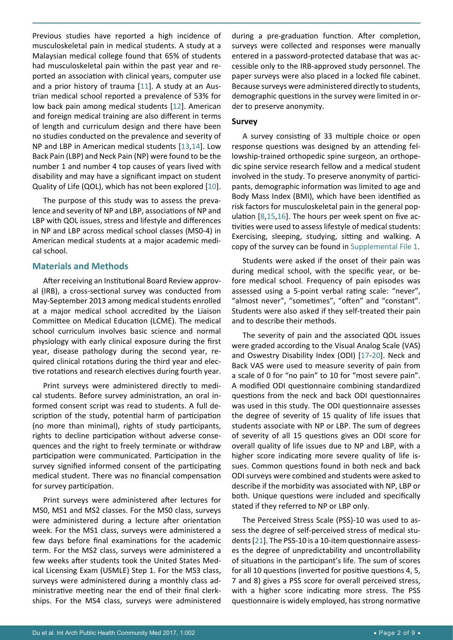Previous studies have reported a high incidence of musculoskeletal pain in medical students. A study at a Malaysian medical college found that 65% of students had musculoskeletal pain within the past year and reported an association with clinical years, computer use and a prior history of trauma [[11](#page-8-7)]. A study at an Austrian medical school reported a prevalence of 53% for low back pain among medical students [[12](#page-8-8)]. American and foreign medical training are also different in terms of length and curriculum design and there have been no studies conducted on the prevalence and severity of NP and LBP in American medical students [\[13](#page-8-9),[14](#page-8-10)]. Low Back Pain (LBP) and Neck Pain (NP) were found to be the number 1 and number 4 top causes of years lived with disability and may have a significant impact on student Quality of Life (QOL), which has not been explored [[10](#page-8-0)].

The purpose of this study was to assess the prevalence and severity of NP and LBP, associations of NP and LBP with QOL issues, stress and lifestyle and differences in NP and LBP across medical school classes (MS0-4) in American medical students at a major academic medical school.

#### **Materials and Methods**

After receiving an Institutional Board Review approval (IRB), a cross-sectional survey was conducted from May-September 2013 among medical students enrolled at a major medical school accredited by the Liaison Committee on Medical Education (LCME). The medical school curriculum involves basic science and normal physiology with early clinical exposure during the first year, disease pathology during the second year, required clinical rotations during the third year and elective rotations and research electives during fourth year.

Print surveys were administered directly to medical students. Before survey administration, an oral informed consent script was read to students. A full description of the study, potential harm of participation (no more than minimal), rights of study participants, rights to decline participation without adverse consequences and the right to freely terminate or withdraw participation were communicated. Participation in the survey signified informed consent of the participating medical student. There was no financial compensation for survey participation.

Print surveys were administered after lectures for MS0, MS1 and MS2 classes. For the MS0 class, surveys were administered during a lecture after orientation week. For the MS1 class, surveys were administered a few days before final examinations for the academic term. For the MS2 class, surveys were administered a few weeks after students took the United States Medical Licensing Exam (USMLE) Step 1. For the MS3 class, surveys were administered during a monthly class administrative meeting near the end of their final clerkships. For the MS4 class, surveys were administered

during a pre-graduation function. After completion, surveys were collected and responses were manually entered in a password-protected database that was accessible only to the IRB-approved study personnel. The paper surveys were also placed in a locked file cabinet. Because surveys were administered directly to students, demographic questions in the survey were limited in order to preserve anonymity.

#### **Survey**

A survey consisting of 33 multiple choice or open response questions was designed by an attending fellowship-trained orthopedic spine surgeon, an orthopedic spine service research fellow and a medical student involved in the study. To preserve anonymity of participants, demographic information was limited to age and Body Mass Index (BMI), which have been identified as risk factors for musculoskeletal pain in the general population [[8](#page-8-1),[15](#page-8-2),[16](#page-8-3)]. The hours per week spent on five activities were used to assess lifestyle of medical students: Exercising, sleeping, studying, sitting and walking. A copy of the survey can be found in [Supplemental File 1](https://clinmedjournals.org/articles/iaphcm/iaphcm-1-02-supplemental-file-1.pdf).

Students were asked if the onset of their pain was during medical school, with the specific year, or before medical school. Frequency of pain episodes was assessed using a 5-point verbal rating scale: "never", "almost never", "sometimes", "often" and "constant". Students were also asked if they self-treated their pain and to describe their methods.

The severity of pain and the associated QOL issues were graded according to the Visual Analog Scale (VAS) and Oswestry Disability Index (ODI) [[17-](#page-8-4)[20](#page-8-5)]. Neck and Back VAS were used to measure severity of pain from a scale of 0 for "no pain" to 10 for "most severe pain". A modified ODI questionnaire combining standardized questions from the neck and back ODI questionnaires was used in this study. The ODI questionnaire assesses the degree of severity of 15 quality of life issues that students associate with NP or LBP. The sum of degrees of severity of all 15 questions gives an ODI score for overall quality of life issues due to NP and LBP, with a higher score indicating more severe quality of life issues. Common questions found in both neck and back ODI surveys were combined and students were asked to describe if the morbidity was associated with NP, LBP or both. Unique questions were included and specifically stated if they referred to NP or LBP only.

The Perceived Stress Scale (PSS)-10 was used to assess the degree of self-perceived stress of medical students [[21](#page-8-6)]. The PSS-10 is a 10-item questionnaire assesses the degree of unpredictability and uncontrollability of situations in the participant's life. The sum of scores for all 10 questions (inverted for positive questions 4, 5, 7 and 8) gives a PSS score for overall perceived stress, with a higher score indicating more stress. The PSS questionnaire is widely employed, has strong normative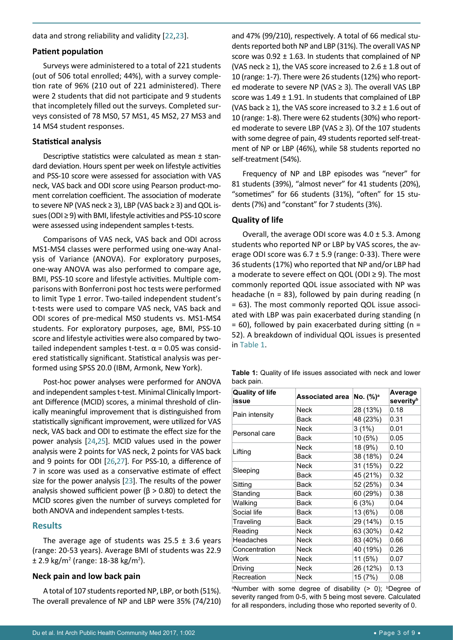data and strong reliability and validity [[22](#page-8-11),[23](#page-8-12)].

#### **Patient population**

Surveys were administered to a total of 221 students (out of 506 total enrolled; 44%), with a survey completion rate of 96% (210 out of 221 administered). There were 2 students that did not participate and 9 students that incompletely filled out the surveys. Completed surveys consisted of 78 MS0, 57 MS1, 45 MS2, 27 MS3 and 14 MS4 student responses.

#### **Statistical analysis**

Descriptive statistics were calculated as mean ± standard deviation. Hours spent per week on lifestyle activities and PSS-10 score were assessed for association with VAS neck, VAS back and ODI score using Pearson product-moment correlation coefficient. The association of moderate to severe NP (VAS neck ≥ 3), LBP (VAS back ≥ 3) and QOL issues (ODI ≥ 9) with BMI, lifestyle activities and PSS-10 score were assessed using independent samples t-tests.

Comparisons of VAS neck, VAS back and ODI across MS1-MS4 classes were performed using one-way Analysis of Variance (ANOVA). For exploratory purposes, one-way ANOVA was also performed to compare age, BMI, PSS-10 score and lifestyle activities. Multiple comparisons with Bonferroni post hoc tests were performed to limit Type 1 error. Two-tailed independent student's t-tests were used to compare VAS neck, VAS back and ODI scores of pre-medical MS0 students vs. MS1-MS4 students. For exploratory purposes, age, BMI, PSS-10 score and lifestyle activities were also compared by twotailed independent samples t-test.  $α = 0.05$  was considered statistically significant. Statistical analysis was performed using SPSS 20.0 (IBM, Armonk, New York).

Post-hoc power analyses were performed for ANOVA and independent samples t-test. Minimal Clinically Important Difference (MCID) scores, a minimal threshold of clinically meaningful improvement that is distinguished from statistically significant improvement, were utilized for VAS neck, VAS back and ODI to estimate the effect size for the power analysis [[24](#page-8-13),[25](#page-8-14)]. MCID values used in the power analysis were 2 points for VAS neck, 2 points for VAS back and 9 points for ODI [[26](#page-8-15),[27](#page-8-16)]. For PSS-10, a difference of 7 in score was used as a conservative estimate of effect size for the power analysis [\[23\]](#page-8-12). The results of the power analysis showed sufficient power ( $\beta$  > 0.80) to detect the MCID scores given the number of surveys completed for both ANOVA and independent samples t-tests.

#### **Results**

The average age of students was  $25.5 \pm 3.6$  years (range: 20-53 years). Average BMI of students was 22.9 ± 2.9 kg/m<sup>2</sup> (range: 18-38 kg/m<sup>2</sup>).

# **Neck pain and low back pain**

A total of 107 students reported NP, LBP, or both (51%). The overall prevalence of NP and LBP were 35% (74/210) and 47% (99/210), respectively. A total of 66 medical students reported both NP and LBP (31%). The overall VAS NP score was  $0.92 \pm 1.63$ . In students that complained of NP (VAS neck  $\geq$  1), the VAS score increased to 2.6  $\pm$  1.8 out of 10 (range: 1-7). There were 26 students (12%) who reported moderate to severe NP (VAS ≥ 3). The overall VAS LBP score was  $1.49 \pm 1.91$ . In students that complained of LBP (VAS back  $\geq$  1), the VAS score increased to 3.2  $\pm$  1.6 out of 10 (range: 1-8). There were 62 students (30%) who reported moderate to severe LBP (VAS ≥ 3). Of the 107 students with some degree of pain, 49 students reported self-treatment of NP or LBP (46%), while 58 students reported no self-treatment (54%).

Frequency of NP and LBP episodes was "never" for 81 students (39%), "almost never" for 41 students (20%), "sometimes" for 66 students (31%), "often" for 15 students (7%) and "constant" for 7 students (3%).

### **Quality of life**

Overall, the average ODI score was  $4.0 \pm 5.3$ . Among students who reported NP or LBP by VAS scores, the average ODI score was  $6.7 \pm 5.9$  (range: 0-33). There were 36 students (17%) who reported that NP and/or LBP had a moderate to severe effect on QOL (ODI ≥ 9). The most commonly reported QOL issue associated with NP was headache (n = 83), followed by pain during reading (n = 63). The most commonly reported QOL issue associated with LBP was pain exacerbated during standing (n  $= 60$ ), followed by pain exacerbated during sitting (n = 52). A breakdown of individual QOL issues is presented in [Table 1.](#page-2-0)

<span id="page-2-0"></span>**Table 1:** Quality of life issues associated with neck and lower back pain.

| <b>Quality of life</b><br>issue            | Associated area No. (%) <sup>a</sup> |          | Average<br>severityb |
|--------------------------------------------|--------------------------------------|----------|----------------------|
|                                            | Neck                                 | 28 (13%) | 0.18                 |
| Pain intensity                             | <b>Back</b>                          | 48 (23%) | 0.31                 |
| Personal care                              | Neck                                 | $3(1\%)$ | 0.01                 |
|                                            | Back                                 | 10(5%)   | 0.05                 |
|                                            | Neck                                 | 18 (9%)  | 0.10                 |
| Lifting                                    | <b>Back</b>                          | 38 (18%) | 0.24                 |
| Sleeping<br>Sitting<br>Standing<br>Walking | Neck                                 | 31 (15%) | 0.22                 |
|                                            | <b>Back</b>                          | 45 (21%) | 0.32                 |
|                                            | <b>Back</b>                          | 52 (25%) | 0.34                 |
|                                            | Back                                 | 60 (29%) | 0.38                 |
|                                            | Back                                 | 6(3%)    | 0.04                 |
| Social life                                | Back                                 | 13 (6%)  | 0.08                 |
| Traveling                                  | <b>Back</b>                          | 29 (14%) | 0.15                 |
| Reading                                    | <b>Neck</b>                          | 63 (30%) | 0.42                 |
| Headaches                                  | Neck                                 | 83 (40%) | 0.66                 |
| Concentration                              | Neck                                 | 40 (19%) | 0.26                 |
| Work                                       | <b>Neck</b>                          | 11 (5%)  | 0.07                 |
| Driving                                    | Neck                                 | 26 (12%) | 0.13                 |
| Recreation                                 | Neck                                 | 15 (7%)  | 0.08                 |

aNumber with some degree of disability (> 0); bDegree of severity ranged from 0-5, with 5 being most severe. Calculated for all responders, including those who reported severity of 0.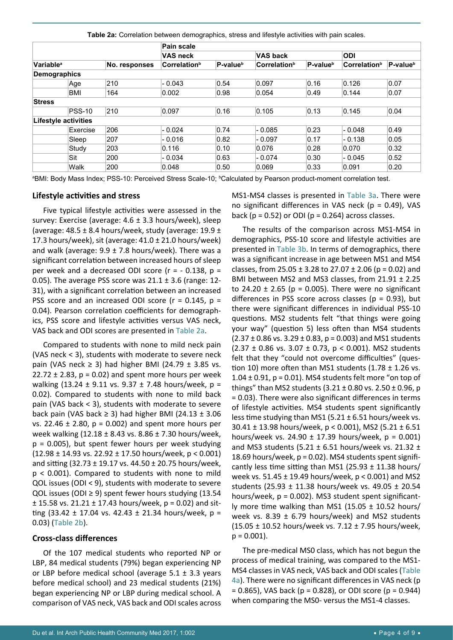|                       |                             |               | Pain scale                      |                      |                                 |                      |                          |                      |
|-----------------------|-----------------------------|---------------|---------------------------------|----------------------|---------------------------------|----------------------|--------------------------|----------------------|
|                       |                             |               | <b>VAS neck</b>                 |                      | <b>VAS back</b>                 |                      | <b>ODI</b>               |                      |
| Variable <sup>a</sup> |                             | No. responses | <b>Correlation</b> <sup>b</sup> | P-value <sup>b</sup> | <b>Correlation</b> <sup>b</sup> | P-value <sup>b</sup> | Correlation <sup>b</sup> | P-value <sup>b</sup> |
|                       | <b>Demographics</b>         |               |                                 |                      |                                 |                      |                          |                      |
|                       | Age                         | 210           | $-0.043$                        | 0.54                 | 0.097                           | 0.16                 | 0.126                    | 0.07                 |
|                       | <b>BMI</b>                  | 164           | 0.002                           | 0.98                 | 0.054                           | 0.49                 | 0.144                    | 0.07                 |
| <b>Stress</b>         |                             |               |                                 |                      |                                 |                      |                          |                      |
|                       | $ PSS-10 $                  | 210           | 0.097                           | 0.16                 | 0.105                           | 0.13                 | 0.145                    | 0.04                 |
|                       | <b>Lifestyle activities</b> |               |                                 |                      |                                 |                      |                          |                      |
|                       | Exercise                    | 206           | $-0.024$                        | 0.74                 | $-0.085$                        | 0.23                 | $-0.048$                 | 0.49                 |
|                       | Sleep                       | 207           | $-0.016$                        | 0.82                 | - 0.097                         | 0.17                 | $-0.138$                 | 0.05                 |
|                       | Study                       | 203           | 0.116                           | 0.10                 | 0.076                           | 0.28                 | 0.070                    | 0.32                 |
|                       | Sit                         | 200           | $-0.034$                        | 0.63                 | $-0.074$                        | 0.30                 | $-0.045$                 | 0.52                 |
|                       | Walk                        | 200           | 0.048                           | 0.50                 | 0.069                           | 0.33                 | 0.091                    | 0.20                 |

<span id="page-3-0"></span>**Table 2a:** Correlation between demographics, stress and lifestyle activities with pain scales.

ªBMI: Body Mass Index; PSS-10: Perceived Stress Scale-10; <sup>ь</sup>Calculated by Pearson product-moment correlation test.

#### **Lifestyle activities and stress**

Five typical lifestyle activities were assessed in the survey: Exercise (average: 4.6 ± 3.3 hours/week), sleep (average: 48.5  $\pm$  8.4 hours/week, study (average: 19.9  $\pm$ 17.3 hours/week), sit (average:  $41.0 \pm 21.0$  hours/week) and walk (average:  $9.9 \pm 7.8$  hours/week). There was a significant correlation between increased hours of sleep per week and a decreased ODI score ( $r = -0.138$ ,  $p =$ 0.05). The average PSS score was  $21.1 \pm 3.6$  (range: 12-31), with a significant correlation between an increased PSS score and an increased ODI score ( $r = 0.145$ ,  $p =$ 0.04). Pearson correlation coefficients for demographics, PSS score and lifestyle activities versus VAS neck, VAS back and ODI scores are presented in [Table 2a.](#page-3-0)

Compared to students with none to mild neck pain (VAS neck < 3), students with moderate to severe neck pain (VAS neck  $\geq$  3) had higher BMI (24.79  $\pm$  3.85 vs. 22.72  $\pm$  2.83, p = 0.02) and spent more hours per week walking (13.24 ± 9.11 vs. 9.37 ± 7.48 hours/week, p = 0.02). Compared to students with none to mild back pain (VAS back < 3), students with moderate to severe back pain (VAS back  $\geq$  3) had higher BMI (24.13  $\pm$  3.06 vs. 22.46  $\pm$  2.80, p = 0.002) and spent more hours per week walking (12.18 ± 8.43 vs. 8.86 ± 7.30 hours/week, p = 0.005), but spent fewer hours per week studying  $(12.98 \pm 14.93 \text{ vs. } 22.92 \pm 17.50 \text{ hours/week}, p < 0.001)$ and sitting (32.73 ± 19.17 vs. 44.50 ± 20.75 hours/week, p < 0.001). Compared to students with none to mild QOL issues (ODI < 9), students with moderate to severe QOL issues (ODI ≥ 9) spent fewer hours studying (13.54  $\pm$  15.58 vs. 21.21  $\pm$  17.43 hours/week, p = 0.02) and sitting (33.42  $\pm$  17.04 vs. 42.43  $\pm$  21.34 hours/week, p = 0.03) [\(Table 2b](#page-4-0)).

#### **Cross-class differences**

Of the 107 medical students who reported NP or LBP, 84 medical students (79%) began experiencing NP or LBP before medical school (average  $5.1 \pm 3.3$  years before medical school) and 23 medical students (21%) began experiencing NP or LBP during medical school. A comparison of VAS neck, VAS back and ODI scales across MS1-MS4 classes is presented in [Table 3a.](#page-5-0) There were no significant differences in VAS neck (p = 0.49), VAS back ( $p = 0.52$ ) or ODI ( $p = 0.264$ ) across classes.

The results of the comparison across MS1-MS4 in demographics, PSS-10 score and lifestyle activities are presented in [Table 3b](#page-5-1). In terms of demographics, there was a significant increase in age between MS1 and MS4 classes, from 25.05  $\pm$  3.28 to 27.07  $\pm$  2.06 (p = 0.02) and BMI between MS2 and MS3 classes, from 21.91 ± 2.25 to 24.20  $\pm$  2.65 (p = 0.005). There were no significant differences in PSS score across classes ( $p = 0.93$ ), but there were significant differences in individual PSS-10 questions. MS2 students felt "that things were going your way" (question 5) less often than MS4 students  $(2.37 \pm 0.86 \text{ vs. } 3.29 \pm 0.83, p = 0.003)$  and MS1 students  $(2.37 \pm 0.86 \text{ vs. } 3.07 \pm 0.73, \text{ p} < 0.001)$ . MS2 students felt that they "could not overcome difficulties" (question 10) more often than MS1 students  $(1.78 \pm 1.26 \text{ vs.})$ 1.04  $\pm$  0.91, p = 0.01). MS4 students felt more "on top of things" than MS2 students  $(3.21 \pm 0.80 \text{ vs. } 2.50 \pm 0.96)$ , p = 0.03). There were also significant differences in terms of lifestyle activities. MS4 students spent significantly less time studying than MS1 (5.21  $\pm$  6.51 hours/week vs. 30.41 ± 13.98 hours/week, p < 0.001), MS2 (5.21 ± 6.51 hours/week vs. 24.90  $\pm$  17.39 hours/week, p = 0.001) and MS3 students (5.21  $\pm$  6.51 hours/week vs. 21.32  $\pm$ 18.69 hours/week, p = 0.02). MS4 students spent significantly less time sitting than MS1 (25.93  $\pm$  11.38 hours/ week vs. 51.45 ± 19.49 hours/week, p < 0.001) and MS2 students (25.93 ± 11.38 hours/week vs. 49.05 ± 20.54 hours/week,  $p = 0.002$ ). MS3 student spent significantly more time walking than MS1 (15.05  $\pm$  10.52 hours/ week vs. 8.39  $\pm$  6.79 hours/week) and MS2 students (15.05 ± 10.52 hours/week vs. 7.12 ± 7.95 hours/week,  $p = 0.001$ ).

The pre-medical MS0 class, which has not begun the process of medical training, was compared to the MS1- MS4 classes in VAS neck, VAS back and ODI scales [\(Table](#page-5-2)  [4a\)](#page-5-2). There were no significant differences in VAS neck (p  $= 0.865$ ), VAS back (p  $= 0.828$ ), or ODI score (p  $= 0.944$ ) when comparing the MS0- versus the MS1-4 classes.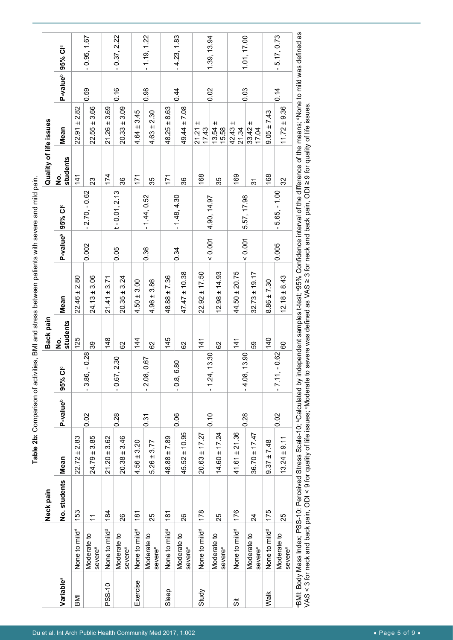<span id="page-4-0"></span>Table 2b: Comparison of activities, BMI and stress between patients with severe and mild pain. **Table 2b:** Comparison of activities, BMI and stress between patients with severe and mild pain.

|                       |                                    | Neck pain      |                   |                      |                             | Back pain     |                                                                                                                                                                                                       |                      |                     | Quality of life issues |                             |                      |                     |
|-----------------------|------------------------------------|----------------|-------------------|----------------------|-----------------------------|---------------|-------------------------------------------------------------------------------------------------------------------------------------------------------------------------------------------------------|----------------------|---------------------|------------------------|-----------------------------|----------------------|---------------------|
| Variable <sup>a</sup> |                                    | No. students   | Mean              | P-value <sup>b</sup> | $\mathbf{c}$<br>95% CI      | students<br>ġ | Mean                                                                                                                                                                                                  | P-value <sup>b</sup> | 95% CI <sup>c</sup> | students<br><u>ş</u>   | Mean                        | P-value <sup>b</sup> | 95% CI <sup>c</sup> |
| <b>IMB</b>            | None to mild <sup>d</sup>          | 153            | $22.72 \pm 2.83$  |                      |                             | 125           | $22.46 \pm 2.80$                                                                                                                                                                                      |                      |                     | 141                    | 2.82<br>$+1$<br>22.91       |                      |                     |
|                       | Moderate to<br>severe <sup>e</sup> | $\tilde{\tau}$ | $24.79 \pm 3.85$  | 0.02                 | 0.28<br>$-3.86,$            | 33            | $24.13 \pm 3.06$                                                                                                                                                                                      | 0.002                | $2.70, -0.62$       | 23                     | 3.66<br>$22.55 \pm$         | 0.59                 | 0.95, 1.67          |
| PSS-10                | None to mild <sup>®</sup>          | 184            | $21.20 \pm 3.62$  |                      |                             | 148           | 3.71<br>$\ddot{}$<br>21.41                                                                                                                                                                            |                      |                     | 174                    | 3.69<br>$21.26 \pm$         |                      |                     |
|                       | Moderate to<br>severe <sup>e</sup> | 26             | $20.38 \pm 3.46$  | 0.28                 | 2.30<br>$-0.67,$            | 8             | 3.24<br>$+1$<br>20.35                                                                                                                                                                                 | 0.05                 | $t - 0.01, 2.13$    | 36                     | 3.09<br>$20.33 \pm$         | 0.16                 | $-0.37, 2.22$       |
| Exercise              | None to mild <sup>d</sup>          | 181            | $4.56 \pm 3.20$   |                      |                             | 144           | 3.00<br>$4.50 \pm$                                                                                                                                                                                    |                      |                     | 171                    | 3.45<br>$4.64 \pm$          |                      |                     |
|                       | Moderate to<br>severe <sup>e</sup> | 25             | $5.26 \pm 3.77$   | 0.31                 | 0.67<br>$-2.08,$            | 8             | 3.86<br>$4.96 \pm$                                                                                                                                                                                    | 0.36                 | $-1.44, 0.52$       | 35                     | $4.63 \pm 2.30$             | 0.98                 | $-1.19, 1.22$       |
| Sleep                 | None to mild <sup>d</sup>          | $\frac{18}{1}$ | $48.88 \pm 7.89$  |                      |                             | 145           | $48.88 \pm 7.36$                                                                                                                                                                                      |                      |                     | 171                    | $48.25 \pm 8.63$            |                      |                     |
|                       | Moderate to<br>severe <sup>e</sup> | $\frac{8}{2}$  | $45.52 \pm 10.95$ | 0.06                 | $\frac{8}{2}$<br>$-0.8, 6.$ | 29            | $47.47 \pm 10.38$                                                                                                                                                                                     | 0.34                 | $-1.48, 4.30$       | 36                     | 49.44 ± 7.08                | 0.44                 | $-4.23, 1.83$       |
| Study                 | None to mild <sup>d</sup>          | 178            | $20.63 \pm 17.27$ |                      |                             | 141           | $22.92 \pm 17.50$                                                                                                                                                                                     |                      |                     | 168                    | $\pm$<br>17.43<br>21.21     |                      |                     |
|                       | Moderate to<br>severe <sup>e</sup> | 25             | $14.60 \pm 17.24$ | 0.10                 | 13.30<br>$-1.24,$           | 8             | $12.98 \pm 14.93$                                                                                                                                                                                     | 0.001                | 4.90, 14.97         | 35                     | $\pm$<br>$13.54$ :<br>15.58 | 0.02                 | 1.39, 13.94         |
| 5i                    | None to mild <sup>d</sup>          | 176            | $41.61 \pm 21.36$ |                      |                             | 141           | $44.50 \pm 20.75$                                                                                                                                                                                     |                      |                     | 169                    | $\pm$<br>42.43<br>21.34     |                      |                     |
|                       | Moderate to<br>severe®             | $\overline{2}$ | $36.70 \pm 17.47$ | 0.28                 | 13.90<br>$-4.08,$           | 59            | ± 19.17<br>32.73.                                                                                                                                                                                     | 0.001                | 5.57, 17.98         | ᢌ                      | $\pm$<br>33.42              | 0.03                 | 1.01, 17.00         |
| Walk                  | None to mild <sup>d</sup>          | 175            | $9.37 \pm 7.48$   |                      |                             | 140           | 7.30<br>$8.86 \pm$                                                                                                                                                                                    |                      |                     | 168                    | $9.05 \pm 7.43$             |                      |                     |
|                       | Moderate to<br>severe <sup>e</sup> | 25             | $13.24 \pm 9.11$  | 0.02                 | 0.62<br>$-7.11, -$          | 8             | ± 8.43<br>12.18                                                                                                                                                                                       | 0.005                | $-5.65, -1.00$      | 32                     | $11.72 \pm 9.36$            | 0.14                 | 5.17, 0.73          |
|                       |                                    |                |                   |                      |                             |               | BMI: Body Mass Index; PSS-10: Perceived Stress Scale-10; <sup>p</sup> Calculated by independent samples t-test; °95% Confidence interval of the difference of the means; ªNone to mild was defined as |                      |                     |                        |                             |                      |                     |

VAS < 3 for neck and back pain, ODI < 9 for quality of life issues; <sup>e</sup>Moderate to severe was defined as VAS ≥ 3 for neck and back pain, ODI ≥ 9 for quality of life issues. VAS < 3 for neck and back pain, ODI < 9 for quality of life issues; <sup>e</sup>Moderate to severe was defined as VAS ≥ 3 for neck and back pain, ODI ≥ 9 for quality of life issues.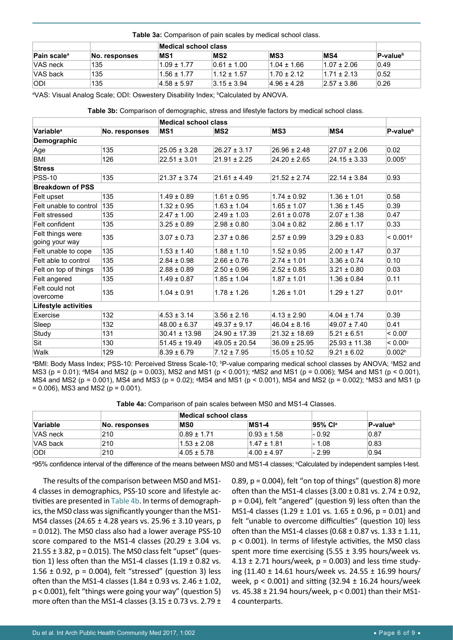#### <span id="page-5-0"></span>**Table 3a:** Comparison of pain scales by medical school class.

|                                |               |                  | Medical school class |                 |                 |                      |  |
|--------------------------------|---------------|------------------|----------------------|-----------------|-----------------|----------------------|--|
| <b>Pain scale</b> <sup>a</sup> | No. responses | MS <sub>1</sub>  | MS <sub>2</sub>      | MS3             | MS4             | P-value <sup>b</sup> |  |
| VAS neck                       | 135           | $1.09 \pm 1.77$  | $0.61 \pm 1.00$      | $1.04 \pm 1.66$ | $1.07 \pm 2.06$ | 0.49                 |  |
| VAS back                       | 135           | $1.56 + 1.77$    | $1.12 \pm 1.57$      | $1.70 + 2.12$   | $1.71 \pm 2.13$ | 0.52                 |  |
| <b>ODI</b>                     | 135           | $ 4.58 \pm 5.97$ | $3.15 \pm 3.94$      | $4.96 \pm 4.28$ | $2.57 \pm 3.86$ | 0.26                 |  |

a VAS: Visual Analog Scale; ODI: Oswestery Disability Index; b Calculated by ANOVA.

<span id="page-5-1"></span>**Table 3b:** Comparison of demographic, stress and lifestyle factors by medical school class.

|                                    |               | <b>Medical school class</b> |                   |                   |                   |                       |
|------------------------------------|---------------|-----------------------------|-------------------|-------------------|-------------------|-----------------------|
| <b>Variable<sup>a</sup></b>        | No. responses | MS <sub>1</sub>             | MS <sub>2</sub>   | MS <sub>3</sub>   | MS4               | P-value <sup>b</sup>  |
| Demographic                        |               |                             |                   |                   |                   |                       |
| Age                                | 135           | $25.05 \pm 3.28$            | $26.27 \pm 3.17$  | $26.96 \pm 2.48$  | $27.07 \pm 2.06$  | 0.02                  |
| <b>BMI</b>                         | 126           | $22.51 \pm 3.01$            | $21.91 \pm 2.25$  | $24.20 \pm 2.65$  | $24.15 \pm 3.33$  | 0.005c                |
| <b>Stress</b>                      |               |                             |                   |                   |                   |                       |
| <b>PSS-10</b>                      | 135           | $21.37 \pm 3.74$            | $21.61 \pm 4.49$  | $21.52 \pm 2.74$  | $22.14 \pm 3.84$  | 0.93                  |
| <b>Breakdown of PSS</b>            |               |                             |                   |                   |                   |                       |
| Felt upset                         | 135           | $1.49 \pm 0.89$             | $1.61 \pm 0.95$   | $1.74 \pm 0.92$   | $1.36 \pm 1.01$   | 0.58                  |
| Felt unable to control             | 135           | $1.32 \pm 0.95$             | $1.63 \pm 1.04$   | $1.65 \pm 1.07$   | $1.36 \pm 1.45$   | 0.39                  |
| Felt stressed                      | 135           | $2.47 \pm 1.00$             | $2.49 \pm 1.03$   | $2.61 \pm 0.078$  | $2.07 \pm 1.38$   | 0.47                  |
| Felt confident                     | 135           | $3.25 \pm 0.89$             | $2.98 \pm 0.80$   | $3.04 \pm 0.82$   | $2.86 \pm 1.17$   | 0.33                  |
| Felt things were<br>going your way | 135           | $3.07 \pm 0.73$             | $2.37 \pm 0.86$   | $2.57 \pm 0.99$   | $3.29 \pm 0.83$   | < 0.001 <sup>d</sup>  |
| Felt unable to cope                | 135           | $1.53 \pm 1.40$             | $1.88 \pm 1.10$   | $1.52 \pm 0.95$   | $2.00 \pm 1.47$   | 0.37                  |
| Felt able to control               | 135           | $2.84 \pm 0.98$             | $2.66 \pm 0.76$   | $2.74 \pm 1.01$   | $3.36 \pm 0.74$   | 0.10                  |
| Felt on top of things              | 135           | $2.88 \pm 0.89$             | $2.50 \pm 0.96$   | $2.52 \pm 0.85$   | $3.21 \pm 0.80$   | 0.03                  |
| Felt angered                       | 135           | $1.49 \pm 0.87$             | $1.85 \pm 1.04$   | $1.87 \pm 1.01$   | $1.36 \pm 0.84$   | 0.11                  |
| Felt could not<br>overcome         | 135           | $1.04 \pm 0.91$             | $1.78 \pm 1.26$   | $1.26 \pm 1.01$   | $1.29 \pm 1.27$   | 0.01 <sup>e</sup>     |
| Lifestyle activities               |               |                             |                   |                   |                   |                       |
| Exercise                           | 132           | $4.53 \pm 3.14$             | $3.56 \pm 2.16$   | $4.13 \pm 2.90$   | $4.04 \pm 1.74$   | 0.39                  |
| Sleep                              | 132           | $48.00 \pm 6.37$            | $49.37 \pm 9.17$  | $46.04 \pm 8.16$  | $49.07 \pm 7.40$  | 0.41                  |
| Study                              | 131           | $30.41 \pm 13.98$           | $24.90 \pm 17.39$ | $21.32 \pm 18.69$ | $5.21 \pm 6.51$   | $< 0.00$ <sup>f</sup> |
| Sit                                | 130           | $51.45 \pm 19.49$           | $49.05 \pm 20.54$ | $36.09 \pm 25.95$ | $25.93 \pm 11.38$ | $< 0.00$ <sup>g</sup> |
| Walk                               | 129           | $8.39 \pm 6.79$             | $7.12 \pm 7.95$   | $15.05 \pm 10.52$ | $9.21 \pm 6.02$   | 0.002 <sup>h</sup>    |

ªBMI: Body Mass Index; PSS-10: Perceived Stress Scale-10; <sup>b</sup>P-value comparing medical school classes by ANOVA; <sup>c</sup>MS2 and MS3 (p = 0.01); ªMS4 and MS2 (p = 0.003), MS2 and MS1 (p < 0.001); ªMS2 and MS1 (p = 0.006); 'MS4 and MS1 (p < 0.001), MS4 and MS2 (p = 0.001), MS4 and MS3 (p = 0.02); 9MS4 and MS1 (p < 0.001), MS4 and MS2 (p = 0.002); ʰMS3 and MS1 (p  $= 0.006$ ), MS3 and MS2 ( $p = 0.001$ ).

<span id="page-5-2"></span>**Table 4a:** Comparison of pain scales between MS0 and MS1-4 Classes.

|                 |               | Medical school class |                 |         |                      |
|-----------------|---------------|----------------------|-----------------|---------|----------------------|
| <b>Variable</b> | No. responses | <b>MSO</b>           | <b>MS1-4</b>    | 95% Cla | P-value <sup>b</sup> |
| VAS neck        | 210           | $0.89 \pm 1.71$      | $0.93 \pm 1.58$ | $-0.92$ | 0.87                 |
| VAS back        | 210           | $1.53 \pm 2.08$      | $1.47 \pm 1.81$ | $-1.08$ | 0.83                 |
| <b>ODI</b>      | 210           | $ 4.05 \pm 5.78 $    | $4.00 \pm 4.97$ | - 2.99  | 0.94                 |

ª95% confidence interval of the difference of the means between MS0 and MS1-4 classes; <sup>b</sup>Calculated by independent samples t-test.

The results of the comparison between MS0 and MS1- 4 classes in demographics, PSS-10 score and lifestyle activities are presented in [Table 4b](#page-6-0). In terms of demographics, the MS0 class was significantly younger than the MS1- MS4 classes (24.65 ± 4.28 years vs. 25.96 ± 3.10 years, p = 0.012). The MS0 class also had a lower average PSS-10 score compared to the MS1-4 classes (20.29  $\pm$  3.04 vs. 21.55  $\pm$  3.82, p = 0.015). The MS0 class felt "upset" (question 1) less often than the MS1-4 classes  $(1.19 \pm 0.82 \text{ vs.})$ 1.56  $\pm$  0.92, p = 0.004), felt "stressed" (question 3) less often than the MS1-4 classes  $(1.84 \pm 0.93 \text{ vs. } 2.46 \pm 1.02)$ , p < 0.001), felt "things were going your way" (question 5) more often than the MS1-4 classes (3.15  $\pm$  0.73 vs. 2.79  $\pm$  0.89,  $p = 0.004$ ), felt "on top of things" (question 8) more often than the MS1-4 classes  $(3.00 \pm 0.81 \text{ vs. } 2.74 \pm 0.92)$ , p = 0.04), felt "angered" (question 9) less often than the MS1-4 classes (1.29  $\pm$  1.01 vs. 1.65  $\pm$  0.96, p = 0.01) and felt "unable to overcome difficulties" (question 10) less often than the MS1-4 classes  $(0.68 \pm 0.87 \text{ vs. } 1.33 \pm 1.11)$ , p < 0.001). In terms of lifestyle activities, the MS0 class spent more time exercising  $(5.55 \pm 3.95$  hours/week vs. 4.13  $\pm$  2.71 hours/week, p = 0.003) and less time studying (11.40 ± 14.61 hours/week vs. 24.55 ± 16.99 hours/ week,  $p < 0.001$ ) and sitting (32.94  $\pm$  16.24 hours/week vs. 45.38 ± 21.94 hours/week, p < 0.001) than their MS1- 4 counterparts.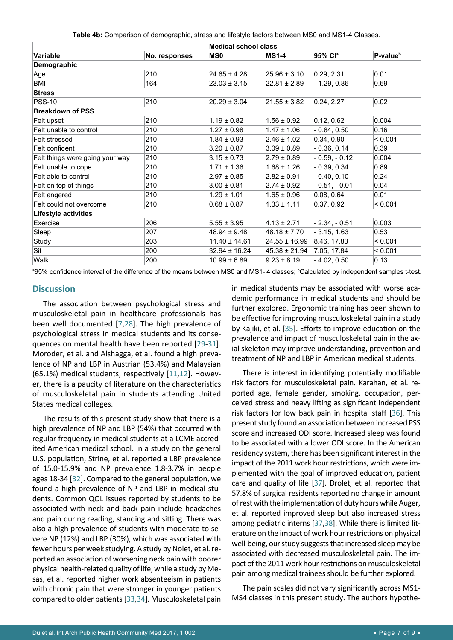<span id="page-6-0"></span>**Table 4b:** Comparison of demographic, stress and lifestyle factors between MS0 and MS1-4 Classes.

|                                 |               | <b>Medical school class</b> |                   |                |                      |  |  |  |
|---------------------------------|---------------|-----------------------------|-------------------|----------------|----------------------|--|--|--|
| Variable                        | No. responses | <b>MSO</b>                  | <b>MS1-4</b>      | 95% Cla        | P-value <sup>b</sup> |  |  |  |
| Demographic                     |               |                             |                   |                |                      |  |  |  |
| Age                             | 210           | $24.65 \pm 4.28$            | $25.96 \pm 3.10$  | 0.29, 2.31     | 0.01                 |  |  |  |
| BMI                             | 164           | $23.03 \pm 3.15$            | $22.81 \pm 2.89$  | $-1.29, 0.86$  | 0.69                 |  |  |  |
| <b>Stress</b>                   |               |                             |                   |                |                      |  |  |  |
| <b>PSS-10</b>                   | 210           | $20.29 \pm 3.04$            | $21.55 \pm 3.82$  | 0.24, 2.27     | 0.02                 |  |  |  |
| <b>Breakdown of PSS</b>         |               |                             |                   |                |                      |  |  |  |
| Felt upset                      | 210           | $1.19 \pm 0.82$             | $1.56 \pm 0.92$   | 0.12, 0.62     | 0.004                |  |  |  |
| Felt unable to control          | 210           | $1.27 \pm 0.98$             | $1.47 \pm 1.06$   | $-0.84, 0.50$  | 0.16                 |  |  |  |
| Felt stressed                   | 210           | $1.84 \pm 0.93$             | $2.46 \pm 1.02$   | 0.34, 0.90     | < 0.001              |  |  |  |
| Felt confident                  | 210           | $3.20 \pm 0.87$             | $3.09 \pm 0.89$   | $-0.36, 0.14$  | 0.39                 |  |  |  |
| Felt things were going your way | 210           | $3.15 \pm 0.73$             | $2.79 \pm 0.89$   | $-0.59, -0.12$ | 0.004                |  |  |  |
| Felt unable to cope             | 210           | $1.71 \pm 1.36$             | $1.68 \pm 1.26$   | $-0.39, 0.34$  | 0.89                 |  |  |  |
| Felt able to control            | 210           | $2.97 \pm 0.85$             | $2.82 \pm 0.91$   | $-0.40, 0.10$  | 0.24                 |  |  |  |
| Felt on top of things           | 210           | $3.00 \pm 0.81$             | $2.74 \pm 0.92$   | $-0.51, -0.01$ | 0.04                 |  |  |  |
| Felt angered                    | 210           | $1.29 \pm 1.01$             | $1.65 \pm 0.96$   | 0.08, 0.64     | 0.01                 |  |  |  |
| Felt could not overcome         | 210           | $0.68 \pm 0.87$             | $1.33 \pm 1.11$   | 0.37, 0.92     | < 0.001              |  |  |  |
| Lifestyle activities            |               |                             |                   |                |                      |  |  |  |
| Exercise                        | 206           | $5.55 \pm 3.95$             | $4.13 \pm 2.71$   | $-2.34, -0.51$ | 0.003                |  |  |  |
| Sleep                           | 207           | $48.94 \pm 9.48$            | $48.18 \pm 7.70$  | $-3.15, 1.63$  | 0.53                 |  |  |  |
| Study                           | 203           | $11.40 \pm 14.61$           | $24.55 \pm 16.99$ | 8.46, 17.83    | < 0.001              |  |  |  |
| Sit                             | 200           | $32.94 \pm 16.24$           | $45.38 \pm 21.94$ | 7.05, 17.84    | < 0.001              |  |  |  |
| Walk                            | 200           | $10.99 \pm 6.89$            | $9.23 \pm 8.19$   | $-4.02, 0.50$  | 0.13                 |  |  |  |

ª95% confidence interval of the difference of the means between MS0 and MS1- 4 classes; <sup>b</sup>Calculated by independent samples t-test.

#### **Discussion**

The association between psychological stress and musculoskeletal pain in healthcare professionals has been well documented [[7](#page-8-21),[28](#page-8-22)]. The high prevalence of psychological stress in medical students and its consequences on mental health have been reported [[29](#page-8-23)-[31](#page-8-24)]. Moroder, et al. and Alshagga, et al. found a high prevalence of NP and LBP in Austrian (53.4%) and Malaysian (65.1%) medical students, respectively [[11](#page-8-7),[12](#page-8-8)]. However, there is a paucity of literature on the characteristics of musculoskeletal pain in students attending United States medical colleges.

The results of this present study show that there is a high prevalence of NP and LBP (54%) that occurred with regular frequency in medical students at a LCME accredited American medical school. In a study on the general U.S. population, Strine, et al. reported a LBP prevalence of 15.0-15.9% and NP prevalence 1.8-3.7% in people ages 18-34 [\[32\]](#page-8-25). Compared to the general population, we found a high prevalence of NP and LBP in medical students. Common QOL issues reported by students to be associated with neck and back pain include headaches and pain during reading, standing and sitting. There was also a high prevalence of students with moderate to severe NP (12%) and LBP (30%), which was associated with fewer hours per week studying. A study by Nolet, et al. reported an association of worsening neck pain with poorer physical health-related quality of life, while a study by Mesas, et al. reported higher work absenteeism in patients with chronic pain that were stronger in younger patients compared to older patients [\[33](#page-8-26),[34\]](#page-8-27). Musculoskeletal pain

in medical students may be associated with worse academic performance in medical students and should be further explored. Ergonomic training has been shown to be effective for improving musculoskeletal pain in a study by Kajiki, et al. [[35\]](#page-8-17). Efforts to improve education on the prevalence and impact of musculoskeletal pain in the axial skeleton may improve understanding, prevention and treatment of NP and LBP in American medical students.

There is interest in identifying potentially modifiable risk factors for musculoskeletal pain. Karahan, et al. reported age, female gender, smoking, occupation, perceived stress and heavy lifting as significant independent risk factors for low back pain in hospital staff [\[36\]](#page-8-18). This present study found an association between increased PSS score and increased ODI score. Increased sleep was found to be associated with a lower ODI score. In the American residency system, there has been significant interest in the impact of the 2011 work hour restrictions, which were implemented with the goal of improved education, patient care and quality of life [\[37\]](#page-8-19). Drolet, et al. reported that 57.8% of surgical residents reported no change in amount of rest with the implementation of duty hours while Auger, et al. reported improved sleep but also increased stress among pediatric interns [\[37](#page-8-19),[38](#page-8-20)]. While there is limited literature on the impact of work hour restrictions on physical well-being, our study suggests that increased sleep may be associated with decreased musculoskeletal pain. The impact of the 2011 work hour restrictions on musculoskeletal pain among medical trainees should be further explored.

The pain scales did not vary significantly across MS1- MS4 classes in this present study. The authors hypothe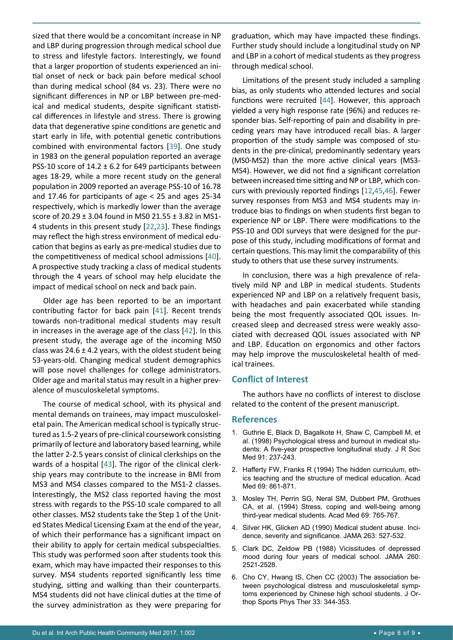sized that there would be a concomitant increase in NP and LBP during progression through medical school due to stress and lifestyle factors. Interestingly, we found that a larger proportion of students experienced an initial onset of neck or back pain before medical school than during medical school (84 vs. 23). There were no significant differences in NP or LBP between pre-medical and medical students, despite significant statistical differences in lifestyle and stress. There is growing data that degenerative spine conditions are genetic and start early in life, with potential genetic contributions combined with environmental factors [\[39\]](#page-8-31). One study in 1983 on the general population reported an average PSS-10 score of  $14.2 \pm 6.2$  for 649 participants between ages 18-29, while a more recent study on the general population in 2009 reported an average PSS-10 of 16.78 and 17.46 for participants of age < 25 and ages 25-34 respectively, which is markedly lower than the average score of 20.29 ± 3.04 found in MS0 21.55 ± 3.82 in MS1- 4 students in this present study [[22](#page-8-11),[23\]](#page-8-12). These findings may reflect the high stress environment of medical education that begins as early as pre-medical studies due to the competitiveness of medical school admissions [\[40](#page-8-32)]. A prospective study tracking a class of medical students through the 4 years of school may help elucidate the impact of medical school on neck and back pain.

Older age has been reported to be an important contributing factor for back pain [[41](#page-8-33)]. Recent trends towards non-traditional medical students may result in increases in the average age of the class [\[42\]](#page-8-34). In this present study, the average age of the incoming MS0 class was 24.6  $\pm$  4.2 years, with the oldest student being 53-years-old. Changing medical student demographics will pose novel challenges for college administrators. Older age and marital status may result in a higher prevalence of musculoskeletal symptoms.

The course of medical school, with its physical and mental demands on trainees, may impact musculoskeletal pain. The American medical school is typically structured as 1.5-2 years of pre-clinical coursework consisting primarily of lecture and laboratory based learning, while the latter 2-2.5 years consist of clinical clerkships on the wards of a hospital [\[43](#page-8-35)]. The rigor of the clinical clerkship years may contribute to the increase in BMI from MS3 and MS4 classes compared to the MS1-2 classes. Interestingly, the MS2 class reported having the most stress with regards to the PSS-10 scale compared to all other classes. MS2 students take the Step 1 of the United States Medical Licensing Exam at the end of the year, of which their performance has a significant impact on their ability to apply for certain medical subspecialties. This study was performed soon after students took this exam, which may have impacted their responses to this survey. MS4 students reported significantly less time studying, sitting and walking than their counterparts. MS4 students did not have clinical duties at the time of the survey administration as they were preparing for

graduation, which may have impacted these findings. Further study should include a longitudinal study on NP and LBP in a cohort of medical students as they progress through medical school.

Limitations of the present study included a sampling bias, as only students who attended lectures and social functions were recruited [[44\]](#page-8-28). However, this approach yielded a very high response rate (96%) and reduces responder bias. Self-reporting of pain and disability in preceding years may have introduced recall bias. A larger proportion of the study sample was composed of students in the pre-clinical, predominantly sedentary years (MS0-MS2) than the more active clinical years (MS3- MS4). However, we did not find a significant correlation between increased time sitting and NP or LBP, which concurs with previously reported findings [[12](#page-8-8)[,45](#page-8-29),[46\]](#page-8-30). Fewer survey responses from MS3 and MS4 students may introduce bias to findings on when students first began to experience NP or LBP. There were modifications to the PSS-10 and ODI surveys that were designed for the purpose of this study, including modifications of format and certain questions. This may limit the comparability of this study to others that use these survey instruments.

In conclusion, there was a high prevalence of relatively mild NP and LBP in medical students. Students experienced NP and LBP on a relatively frequent basis, with headaches and pain exacerbated while standing being the most frequently associated QOL issues. Increased sleep and decreased stress were weakly associated with decreased QOL issues associated with NP and LBP. Education on ergonomics and other factors may help improve the musculoskeletal health of medical trainees.

# **Conflict of Interest**

The authors have no conflicts of interest to disclose related to the content of the present manuscript.

#### **References**

- <span id="page-7-0"></span>1. [Guthrie E, Black D, Bagalkote H, Shaw C, Campbell M, et](https://www.ncbi.nlm.nih.gov/pubmed/9764076)  [al. \(1998\) Psychological stress and burnout in medical stu](https://www.ncbi.nlm.nih.gov/pubmed/9764076)[dents: A five-year prospective longitudinal study. J R Soc](https://www.ncbi.nlm.nih.gov/pubmed/9764076)  [Med 91: 237-243.](https://www.ncbi.nlm.nih.gov/pubmed/9764076)
- 2. [Hafferty FW, Franks R \(1994\) The hidden curriculum, eth](https://www.ncbi.nlm.nih.gov/pubmed/7945681)[ics teaching and the structure of medical education. Acad](https://www.ncbi.nlm.nih.gov/pubmed/7945681)  [Med 69: 861-871.](https://www.ncbi.nlm.nih.gov/pubmed/7945681)
- 3. [Mosley TH, Perrin SG, Neral SM, Dubbert PM, Grothues](https://www.ncbi.nlm.nih.gov/pubmed/8074778)  [CA, et al. \(1994\) Stress, coping and well-being among](https://www.ncbi.nlm.nih.gov/pubmed/8074778)  [third-year medical students. Acad Med 69: 765-767.](https://www.ncbi.nlm.nih.gov/pubmed/8074778)
- 4. [Silver HK, Glicken AD \(1990\) Medical student abuse. Inci](https://www.ncbi.nlm.nih.gov/pubmed/2294324)[dence, severity and significance. JAMA 263: 527-532.](https://www.ncbi.nlm.nih.gov/pubmed/2294324)
- <span id="page-7-1"></span>5. [Clark DC, Zeldow PB \(1988\) Vicissitudes of depressed](https://www.ncbi.nlm.nih.gov/pubmed/3172426)  [mood during four years of medical school. JAMA 260:](https://www.ncbi.nlm.nih.gov/pubmed/3172426)  [2521-2528.](https://www.ncbi.nlm.nih.gov/pubmed/3172426)
- <span id="page-7-2"></span>6. [Cho CY, Hwang IS, Chen CC \(2003\) The association be](https://www.ncbi.nlm.nih.gov/pubmed/12839210)[tween psychological distress and musculoskeletal symp](https://www.ncbi.nlm.nih.gov/pubmed/12839210)[toms experienced by Chinese high school students. J Or](https://www.ncbi.nlm.nih.gov/pubmed/12839210)[thop Sports Phys Ther 33: 344-353.](https://www.ncbi.nlm.nih.gov/pubmed/12839210)